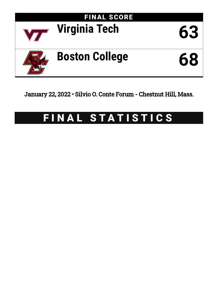

January 22, 2022 • Silvio O. Conte Forum - Chestnut Hill, Mass.

# FINAL STATISTICS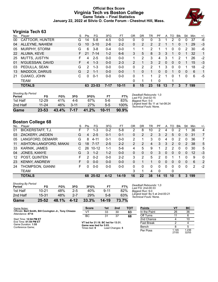# **Official Box Score Virginia Tech vs Boston College Game Totals -- Final Statistics January 22, 2022 at Silvio O. Conte Forum - Chestnut Hill, Mass.**



# **Virginia Tech 63**

| No. | Plaver                | S  | <b>Pts</b>     | FG       | 3FG     | FT.       | ΟR | DR       | TR | PF             | A            | TO | <b>B</b> lk | Stl      | Min | $+/-$        |
|-----|-----------------------|----|----------------|----------|---------|-----------|----|----------|----|----------------|--------------|----|-------------|----------|-----|--------------|
| 00  | CATTOOR, HUNTER       | G  | 14             | $5-8$    | $4 - 5$ | $0-0$     | 0  | 0        | 0  | 3              |              | 2  | 0           | 0        | 37  | -6           |
| 04  | ALLEYNE, NAHIEM       | G  | 10             | $3 - 10$ | $2 - 6$ | $2 - 2$   | 0  | 2        | 2  | $\overline{2}$ |              |    | 0           |          | 29  | $-3$         |
| 05  | <b>MURPHY, STORM</b>  | G  | 6              | $3 - 8$  | $0 - 4$ | $0 - 0$   |    |          | 2  |                |              | 0  | 0           | 2        | 30  | -6           |
| 22  | ALUMA, KEVE           | F. | 21             | $7 - 14$ | $1 - 2$ | $6 - 6$   | 3  | 5        | 8  | 3              | 3            | 1  | $\Omega$    |          | 32  | $\mathbf{1}$ |
| 25  | MUTTS, JUSTYN         | F  | 4              | $2 - 5$  | $0 - 0$ | $0 - 0$   | 1. | 2        | 3  | 4              | 3            | 1  | 2           |          | 26  | $-2$         |
| 01  | N'GUESSAN, DAVID      | F. | 4              | $1 - 3$  | $0 - 0$ | $2 - 3$   | 2  |          | 3  | $\mathcal{P}$  | $\Omega$     | 0  | $\Omega$    |          | 15  | $-3$         |
| 03  | PEDULLA, SEAN         | G  | 2              | $1 - 3$  | $0 - 0$ | $0-0$     | 0  | 2        | 2  |                | 3            | 0  | 0           |          | 18  | $-2$         |
| 13  | <b>MADDOX, DARIUS</b> | G  | $\overline{2}$ | $1 - 1$  | $0 - 0$ | $0 - 0$   |    | $\Omega$ |    | 0              | $\mathbf{0}$ |    | 0           | $\Omega$ | 6   | $\mathbf{1}$ |
| 21  | OJIAKO, JOHN          | C. | 0              | $0 - 1$  | $0-0$   | $0-0$     | 0  |          |    | 2              | 1            | 0  |             | 0        | 6   | -5           |
|     | TEAM                  |    |                |          |         |           | 0  |          |    | 0              |              |    |             |          |     |              |
|     | <b>TOTALS</b>         |    |                | 63 23-53 | 7-17    | $10 - 11$ | 8  | 15       | 23 | 18             | 13           | 7  | 3           |          | 199 |              |

| Game                                | 23-53     | 43.4% | $7 - 17$ | 41.2% | 10-11 | 90.9% |   |
|-------------------------------------|-----------|-------|----------|-------|-------|-------|---|
| 2nd Half                            | $11 - 24$ | 46%   | 3-11     | 27%   | 5-5   | 100%  |   |
| 1st Half                            | $12 - 29$ | 41%   | 4-6      | 67%   | 5-6   | 83%   | B |
| <b>Shooting By Period</b><br>Period | FG        | FG%   | 3FG      | 3FG%  | FT    | FT%   |   |

*Deadball Rebounds:* 1,0 *Last FG:* 2nd-02:15 *Biggest Run:* 5-0 *Largest lead:* By 11 at 1st-08:24 *Technical Fouls:* None.

# **Boston College 68**

| No. | Player                 | S  | Pts | FG        | 3FG      | FT.     | ΟR | DR | TR             | PF       | A  | TO           | <b>B</b> lk | Stl      | Min | $+/-$          |
|-----|------------------------|----|-----|-----------|----------|---------|----|----|----------------|----------|----|--------------|-------------|----------|-----|----------------|
| 01  | BICKERSTAFF, T.J.      | н. |     | $1 - 3$   | $0 - 2$  | $5-8$   | 2  | 8  | 10             | 2        | 4  | 0            | 2           |          | 36  | 4              |
| 03  | ZACKERY, JAEDEN        | G  | 4   | $2 - 5$   | $0 - 1$  | $0 - 1$ | 0  | 2  | $\overline{2}$ | 3        | 2  | 5            | 0           | 0        | 31  | $\overline{7}$ |
| 05  | LANGFORD, DEMARR       | G  | 8   | $4 - 11$  | $0 - 1$  | $0 - 0$ | 2  |    | 3              | 0        | 4  | $\mathbf{0}$ | 2           | $\Omega$ | 36  | $\overline{7}$ |
| 11  | ASHTON-LANGFORD, MAKAI | G  | 18  | 7-17      | $2 - 5$  | $2 - 2$ | 2  | 2  | 4              | 3        | 3  | 2            | 0           | 2        | 38  | 5              |
| 33  | <b>KARNIK, JAMES</b>   |    | 26  | $10 - 12$ | $1 - 1$  | $5-6$   | 4  | 5  | 9              |          | 2  | 2            | 0           | 0        | 30  | 5              |
| 04  | JONES, KANYE           | G  | 3   | $1 - 2$   | $1 - 2$  | $0 - 0$ | 0  | 0  | $\mathbf{0}$   | 3        | 0  | 0            | 0           | 0        | 12  | $-3$           |
| 12  | POST, QUINTEN          | F. | 2   | $0 - 2$   | $0 - 0$  | $2 - 2$ | 3  | 2  | 5              | 2        | 0  |              |             | 0        | 9   | 0              |
| 23  | <b>KENNY, ANDREW</b>   | F. | 0   | $0 - 0$   | $0 - 0$  | $0 - 0$ | 0  |    |                | 0        | 0  | 0            | 0           | $\Omega$ | 6   | 2              |
| 24  | THOMPSON, GIANNI       | F. | 0   | $0 - 0$   | $0 - 0$  | $0 - 0$ | 0  | 0  | $\Omega$       | 0        | 0  | $\Omega$     | 0           | $\Omega$ | 2   | $-2$           |
|     | <b>TEAM</b>            |    |     |           |          |         | 3  |    | 4              | $\Omega$ |    | 0            |             |          |     |                |
|     | <b>TOTALS</b>          |    |     | 68 25-52  | $4 - 12$ | $14-19$ | 16 | 22 | 38             | 14       | 15 | 10           | 5           | 3        | 199 |                |

| Game                                | 25-52 | 48.1% | $4 - 12$ | 33.3%      | 14-19    | 73.7% |
|-------------------------------------|-------|-------|----------|------------|----------|-------|
| 2nd Half                            | 15-31 | 48%   | $2 - 7$  | <b>29%</b> | 5-8      | 63%   |
| 1st Half                            | 10-21 | 48%   | $2 - 5$  | 40%        | $9 - 11$ | 82%   |
| <b>Shooting By Period</b><br>Period | FG    | FG%   | 3FG      | 3FG%       | FT       | FT%   |

*Deadball Rebounds:* 1,0 *Last FG:* 2nd-00:33 *Biggest Run:* 9-0 *Largest lead:* By 5 at 2nd-00:21 *Technical Fouls:* None.

| Game Notes:                                             | <b>Score</b>                        | 1st | 2nd | тот               | <b>Points</b>            | <b>VT</b> | <b>BC</b> |
|---------------------------------------------------------|-------------------------------------|-----|-----|-------------------|--------------------------|-----------|-----------|
| Officials: Bert Smith, Bill Covington Jr., Tony Chiazza | vт                                  | 33  | 30  | 63                | In the Paint             | 26        | 36        |
| Attendance: 4714                                        | BC                                  | 21  | 37  | 68                | Off Turns                |           | 6         |
| Start Time: 12:04 PM ET                                 |                                     |     |     |                   | 2nd Chance               |           | 10        |
| End Time: 01:59 PM ET<br>Game Duration: 1:55            | VT led for 21:18. BC led for 13:31. |     |     | <b>Fast Break</b> |                          |           |           |
|                                                         | Game was tied for 5:03.             |     |     |                   | $\overline{\phantom{0}}$ | $\sim$    |           |

Conference Game;

**filmes** tied: 9 Lead Changes: 5

**Points VT BC** Bench 8 5 Per Poss 27/55 1.236 32/55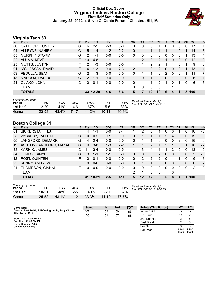#### **Official Box Score Virginia Tech vs Boston College First Half Statistics Only January 22, 2022 at Silvio O. Conte Forum - Chestnut Hill, Mass.**



# **Virginia Tech 33**

| No. | Player           | S  | <b>Pts</b>    | <b>FG</b> | 3FG     | <b>FT</b> | <b>OR</b> | <b>DR</b> | TR       | PF            | A | TO | <b>Blk</b>     | Stl      | Min | $+/-$        |
|-----|------------------|----|---------------|-----------|---------|-----------|-----------|-----------|----------|---------------|---|----|----------------|----------|-----|--------------|
| 00  | CATTOOR, HUNTER  | G  | 6             | $2 - 5$   | $2 - 3$ | $0-0$     | 0         | 0         | $\Omega$ |               | 0 | 0  | 0              | 0        | 17  | 1            |
| 04  | ALLEYNE, NAHIEM  | G  | 5             | $1 - 4$   | $1 - 2$ | $2 - 2$   | 0         |           |          |               |   |    | 0              |          | 14  | 6            |
| 05  | MURPHY, STORM    | G  | 2             | $1 - 1$   | $0 - 0$ | $0 - 0$   | $\Omega$  | 0         | $\Omega$ | 0             | 0 | 0  | 0              |          | 13  | 4            |
| 22  | ALUMA, KEVE      | F. | 10            | $4 - 8$   | $1 - 1$ | $1 - 1$   |           | 2         | 3        | $\mathcal{P}$ | 1 | 0  | $\mathbf{0}$   | $\Omega$ | 12  | 8            |
| 25  | MUTTS, JUSTYN    | F. | 2             | $1 - 3$   | $0 - 0$ | $0-0$     | 1         |           | 2        | 2             |   |    | 0              |          | 9   | 3            |
| 01  | N'GUESSAN, DAVID | F. | 4             | $1 - 3$   | $0 - 0$ | $2 - 3$   | 2         |           | 3.       | 2             | 0 | 0  | $\overline{0}$ |          | 13  | $-1$         |
| 03  | PEDULLA, SEAN    | G  | $\mathcal{P}$ | $1 - 3$   | $0 - 0$ | $0-0$     | 0         |           |          | 0             | 2 | 0  | 0              |          | 11  | $-7$         |
| 13  | MADDOX, DARIUS   | G  | $\mathcal{P}$ | $1 - 1$   | $0 - 0$ | $0-0$     |           | 0         |          | 0             | 0 |    | 0              | $\Omega$ | 6   | $\mathbf{1}$ |
| 21  | OJIAKO, JOHN     | C  | 0             | $0 - 1$   | $0-0$   | $0 - 0$   | 0         |           |          | $\mathcal{P}$ | 1 | 0  |                | 0        | 6   | -5           |
|     | <b>TEAM</b>      |    |               |           |         |           | 0         | 0         | $\Omega$ | $\Omega$      |   |    |                |          |     |              |
|     | <b>TOTALS</b>    |    | 33            | $12 - 29$ | $4-6$   | $5-6$     | 5         | 7         | $12 \,$  | 10            | 6 | 4  |                | 5        | 100 |              |

| <b>Shooting By Period</b><br>Period | FG        | FG%   | 3FG  | 3FG%  |           | FT%   | Deadball Rebounds: 1,0<br>Last FG Half: VT 2nd-02:15 |
|-------------------------------------|-----------|-------|------|-------|-----------|-------|------------------------------------------------------|
| 1st Half                            | $12 - 29$ | 41%   | 4-6  | 67%   | $5-6$     | 83%   |                                                      |
| Game                                | $23 - 53$ | 43.4% | 7-17 | 41.2% | $10 - 11$ | 90.9% |                                                      |

# **Boston College 31**

| No. | -<br>Plaver              | S. | Pts | <b>FG</b> | 3FG     | <b>FT</b> | <b>OR</b> | <b>DR</b> | TR           | PF       | A            | TO       | <b>Blk</b> | Stl      | <b>Min</b> | $+/-$       |
|-----|--------------------------|----|-----|-----------|---------|-----------|-----------|-----------|--------------|----------|--------------|----------|------------|----------|------------|-------------|
| 01  | <b>BICKERSTAFF, T.J.</b> | F  | 4   | 1-1       | $0 - 0$ | $2 - 4$   |           | 2         | 3            |          | 0            | 0        |            | 0        | 16         | $-3$        |
| 03  | ZACKERY, JAEDEN          | G  | 0   | $0 - 2$   | $0 - 1$ | $0 - 0$   | 0         |           |              |          | 2            | 4        | 0          | 0        | 19         | 3           |
| 05  | LANGFORD, DEMARR         | G  | 4   | $2 - 4$   | $0 - 0$ | $0 - 0$   | 0         |           |              | 0        | 0            | 0        | 2          | 0        | 16         | $\mathbf 0$ |
| 11  | ASHTON-LANGFORD, MAKAI   | G  | 9   | $3 - 8$   | $1 - 3$ | $2 - 2$   |           |           |              |          | 2            |          | 0          |          | 18         | $-2$        |
| 33  | <b>KARNIK, JAMES</b>     | С  | . 1 | $3 - 4$   | $0 - 0$ | $5 - 5$   |           | 3         | 4            |          |              | 2        | 0          | 0        | 13         | -5          |
| 04  | JONES, KANYE             | G  | 3   | $1 - 1$   | $1 - 1$ | $0 - 0$   | 0         | 0         | $\mathbf{0}$ | 2        | 0            | 0        | 0          | $\Omega$ | 5          | $-6$        |
| 12  | POST, QUINTEN            | F. | 0   | $0 - 1$   | $0 - 0$ | $0 - 0$   | 0         | 2         | 2            | 2        | <sup>0</sup> |          |            | 0        | 6          | 3           |
| 23  | <b>KENNY, ANDREW</b>     | F. | 0   | $0 - 0$   | $0 - 0$ | $0 - 0$   | 0         |           |              | $\Omega$ | 0            | $\Omega$ | 0          | $\Omega$ | 6          | 2           |
| 24  | THOMPSON, GIANNI         | F  | o   | $0 - 0$   | $0 - 0$ | $0 - 0$   | 0         | 0         | 0            | 0        | 0            | 0        | 0          | $\Omega$ | 2          | $-2$        |
|     | <b>TEAM</b>              |    |     |           |         |           | 2         |           | 3            | 0        |              | 0        |            |          |            |             |
|     | <b>TOTALS</b>            |    | 31  | $10 - 21$ | $2 - 5$ | $9 - 11$  | 5         | 12        | 17           | 8        | 5            | 8        | 4          |          | 100        |             |

| <b>Shooting By Period</b><br>Period | FG        | FG%   | 3FG      | 3FG%  |           | FT%   |
|-------------------------------------|-----------|-------|----------|-------|-----------|-------|
| 1st Half                            | 10-21     | 48%   | $2 - 5$  | 40%   | $9 - 11$  | 82%   |
| Game                                | $25 - 52$ | 48.1% | $4 - 12$ | 33.3% | $14 - 19$ | 73.7% |

*Deadball Rebounds:* 1,0 *Last FG Half:* BC 2nd-00:33

| Game Notes:                                                                 | <b>Score</b> | 1st | 2 <sub>nd</sub> | тот | <b>Points (This Period)</b> | V٦             | BC             |
|-----------------------------------------------------------------------------|--------------|-----|-----------------|-----|-----------------------------|----------------|----------------|
| Officials: Bert Smith, Bill Covington Jr., Tony Chiazza<br>Attendance: 4714 | VT           | 33  | 30              | 63  | In the Paint                |                | 12             |
|                                                                             | BC           | 31  | 37              | 68  | Off Turns                   |                |                |
| Start Time: 12:04 PM ET                                                     |              |     |                 |     | 2nd Chance                  |                |                |
| End Time: 01:59 PM ET<br>Game Duration: 1:55                                |              |     |                 |     | <b>Fast Break</b>           |                |                |
| Conference Game:                                                            |              |     |                 |     | Bench                       |                |                |
|                                                                             |              |     |                 |     | Per Poss                    | 1.100<br>15/30 | 1.107<br>15/28 |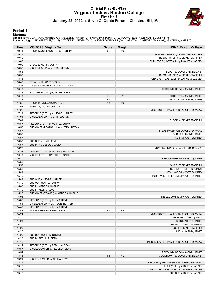#### **Official Play-By-Play Virginia Tech vs Boston College First Half January 22, 2022 at Silvio O. Conte Forum - Chestnut Hill, Mass.**



#### **Period 1**

<mark>Starters:</mark><br>Virginia Tech: 0 CATTOOR,HUNTER (G); 4 ALLEYNE,NAHIEM (G); 5 MURPHY,STORM (G); 22 ALUMA,KEVE (F); 25 MUTTS,JUSTYN (F);<br>Boston College: 1 BICKERSTAFF,T.J. (F); 3 ZACKERY,JAEDEN (G); 5 LANGFORD,DEMARR (G); 11 AS

| Time           | <b>VISITORS: Virginia Tech</b>                                         | <b>Score</b> | <b>Margin</b>  | <b>HOME: Boston College</b>             |
|----------------|------------------------------------------------------------------------|--------------|----------------|-----------------------------------------|
| 19:41          | GOOD! LAYUP by MUTTS, JUSTYN [PNT]                                     | $0 - 2$      | V <sub>2</sub> |                                         |
| 19:19          |                                                                        |              |                | MISSED JUMPER by LANGFORD, DEMARR       |
| 19:16          |                                                                        |              |                | REBOUND (OFF) by BICKERSTAFF, T.J.      |
| 19:00          |                                                                        |              |                | TURNOVER (LOSTBALL) by ZACKERY, JAEDEN  |
| 19:00          | STEAL by MUTTS, JUSTYN                                                 |              |                |                                         |
| 18:56          | MISSED LAYUP by MUTTS, JUSTYN                                          |              |                |                                         |
| 18:56          |                                                                        |              |                | BLOCK by LANGFORD, DEMARR               |
| 18:53          |                                                                        |              |                | REBOUND (DEF) by BICKERSTAFF, T.J.      |
| 18:48          |                                                                        |              |                | TURNOVER (LOSTBALL) by ZACKERY, JAEDEN  |
| 18:48          | STEAL by MURPHY, STORM                                                 |              |                |                                         |
| 18:23          | MISSED JUMPER by ALLEYNE, NAHIEM                                       |              |                |                                         |
| 18:18          |                                                                        |              |                | REBOUND (DEF) by KARNIK, JAMES          |
| 18:13          | FOUL (PERSONAL) by ALUMA, KEVE                                         |              |                |                                         |
| 18:13          |                                                                        | $1 - 2$      | V <sub>1</sub> | GOOD! FT by KARNIK, JAMES               |
| 18:13          |                                                                        | $2 - 2$      | T              | GOOD! FT by KARNIK, JAMES               |
| 17:52          | GOOD! DUNK by ALUMA, KEVE                                              | $2 - 4$      | V <sub>2</sub> |                                         |
| 17:52          | ASSIST by MUTTS, JUSTYN                                                |              |                |                                         |
| 17:22          |                                                                        |              |                | MISSED 3PTR by ASHTON-LANGFORD, MAKAI   |
| 17:19          | REBOUND (DEF) by ALLEYNE, NAHIEM                                       |              |                |                                         |
| 17:01<br>17:01 | MISSED LAYUP by MUTTS, JUSTYN                                          |              |                |                                         |
|                |                                                                        |              |                | BLOCK by BICKERSTAFF, T.J.              |
| 16:57          | REBOUND (OFF) by MUTTS, JUSTYN<br>TURNOVER (LOSTBALL) by MUTTS, JUSTYN |              |                |                                         |
| 16:57<br>16:57 |                                                                        |              |                | STEAL by ASHTON-LANGFORD, MAKAI         |
| 16:57          |                                                                        |              |                | SUB OUT: KARNIK, JAMES                  |
| 16:57          |                                                                        |              |                | SUB IN: POST, QUINTEN                   |
| 16:57          | SUB OUT: ALUMA, KEVE                                                   |              |                |                                         |
| 16:57          | SUB IN: N'GUESSAN, DAVID                                               |              |                |                                         |
| 16:27          |                                                                        |              |                | MISSED JUMPER by LANGFORD, DEMARR       |
| 16:24          | REBOUND (DEF) by N'GUESSAN, DAVID                                      |              |                |                                         |
| 16:13          | MISSED 3PTR by CATTOOR, HUNTER                                         |              |                |                                         |
| 16:10          |                                                                        |              |                | REBOUND (DEF) by POST, QUINTEN          |
| 15:58          |                                                                        |              |                |                                         |
| 15:58          |                                                                        |              |                | SUB OUT: BICKERSTAFF, T.J.              |
| 15:58          |                                                                        |              |                | SUB IN: THOMPSON, GIANNI                |
| 15:49          |                                                                        |              |                | FOUL (OFF) by POST, QUINTEN             |
| 15:49          |                                                                        |              |                | TURNOVER (OFFENSIVE) by POST, QUINTEN   |
| 15:49          | SUB OUT: ALLEYNE, NAHIEM                                               |              |                |                                         |
| 15:49          | SUB OUT: MUTTS, JUSTYN                                                 |              |                |                                         |
| 15:49          | SUB IN: MADDOX, DARIUS                                                 |              |                |                                         |
| 15:49          | SUB IN: ALUMA, KEVE                                                    |              |                |                                         |
| 15:25          | TURNOVER (TRAVEL) by MADDOX, DARIUS                                    |              |                |                                         |
| 15:05          |                                                                        |              |                | MISSED JUMPER by POST, QUINTEN          |
| 15:02          | REBOUND (DEF) by ALUMA, KEVE                                           |              |                |                                         |
| 14:51          | MISSED LAYUP by CATTOOR, HUNTER                                        |              |                |                                         |
| 14:48          | REBOUND (OFF) by ALUMA, KEVE                                           |              |                |                                         |
| 14:48          | GOOD! LAYUP by ALUMA, KEVE                                             | $2 - 6$      | V <sub>4</sub> |                                         |
| 14:24          |                                                                        |              |                | MISSED 3PTR by ASHTON-LANGFORD, MAKAI   |
| 14:20          |                                                                        |              |                | REBOUND (OFF) by TEAM                   |
| 14:20          |                                                                        |              |                | SUB OUT: POST, QUINTEN                  |
| 14:20          |                                                                        |              |                | SUB OUT: THOMPSON, GIANNI               |
| 14:20          |                                                                        |              |                | SUB IN: BICKERSTAFF, T.J.               |
| 14:20          |                                                                        |              |                | SUB IN: KARNIK, JAMES                   |
| 14:20          | SUB OUT: MURPHY, STORM                                                 |              |                |                                         |
| 14:20          | SUB IN: PEDULLA, SEAN                                                  |              |                |                                         |
| 14:16          |                                                                        |              |                | MISSED JUMPER by ASHTON-LANGFORD, MAKAI |
| 14:14          | REBOUND (DEF) by PEDULLA, SEAN                                         |              |                |                                         |
| 13:57          | MISSED JUMPER by PEDULLA, SEAN                                         |              |                |                                         |
| 13:54          |                                                                        |              |                | REBOUND (DEF) by KARNIK, JAMES          |
| 13:45          |                                                                        | $4-6$        | V <sub>2</sub> | GOOD! DUNK by LANGFORD, DEMARR          |
| 13:21          | MISSED JUMPER by ALUMA, KEVE                                           |              |                |                                         |
| 13:19          |                                                                        |              |                | REBOUND (DEF) by ASHTON-LANGFORD, MAKAI |
| 13:12          |                                                                        |              |                | FOUL (OFF) by ZACKERY, JAEDEN           |
| 13:12          |                                                                        |              |                | TURNOVER (OFFENSIVE) by ZACKERY, JAEDEN |
| 13:12          |                                                                        |              |                | SUB OUT: ZACKERY, JAEDEN                |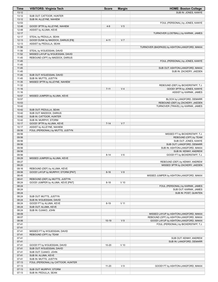| Time           | <b>VISITORS: Virginia Tech</b>     | <b>Score</b> | <b>Margin</b>  | <b>HOME: Boston College</b>                                                      |
|----------------|------------------------------------|--------------|----------------|----------------------------------------------------------------------------------|
| 13:12          |                                    |              |                | SUB IN: JONES, KANYE                                                             |
| 13:12          | SUB OUT: CATTOOR, HUNTER           |              |                |                                                                                  |
| 13:12          | SUB IN: ALLEYNE, NAHIEM            |              |                |                                                                                  |
| 12:53          |                                    |              |                | FOUL (PERSONAL) by JONES, KANYE                                                  |
| 12:48          | GOOD! 3PTR by ALLEYNE, NAHIEM      | $4 - 9$      | V <sub>5</sub> |                                                                                  |
| 12:48          | ASSIST by ALUMA, KEVE              |              |                |                                                                                  |
| 12:17          |                                    |              |                | TURNOVER (LOSTBALL) by KARNIK, JAMES                                             |
| 12:17          | STEAL by PEDULLA, SEAN             |              |                |                                                                                  |
| 12:13          | GOOD! DUNK by MADDOX, DARIUS [FB]  | $4 - 11$     | V <sub>7</sub> |                                                                                  |
| 12:13<br>11:56 | ASSIST by PEDULLA, SEAN            |              |                | TURNOVER (BADPASS) by ASHTON-LANGFORD, MAKAI                                     |
| 11:56          | STEAL by N'GUESSAN, DAVID          |              |                |                                                                                  |
| 11:52          | MISSED LAYUP by N'GUESSAN, DAVID   |              |                |                                                                                  |
| 11:45          | REBOUND (OFF) by MADDOX, DARIUS    |              |                |                                                                                  |
| 11:45          |                                    |              |                | FOUL (PERSONAL) by JONES, KANYE                                                  |
| 11:45          |                                    |              |                |                                                                                  |
| 11:45          |                                    |              |                | SUB OUT: ASHTON-LANGFORD, MAKAI                                                  |
| 11:45          |                                    |              |                | SUB IN: ZACKERY, JAEDEN                                                          |
| 11:45          | SUB OUT: N'GUESSAN, DAVID          |              |                |                                                                                  |
| 11:45          | SUB IN: MUTTS, JUSTYN              |              |                |                                                                                  |
| 11:35          | MISSED 3PTR by ALLEYNE, NAHIEM     |              |                |                                                                                  |
| 11:32          |                                    |              |                | REBOUND (DEF) by BICKERSTAFF, T.J.                                               |
| 11:16          |                                    | $7 - 11$     | V <sub>4</sub> | GOOD! 3PTR by JONES, KANYE                                                       |
| 11:16          |                                    |              |                | ASSIST by KARNIK, JAMES                                                          |
| 10:57          | MISSED JUMPER by ALUMA, KEVE       |              |                |                                                                                  |
| 10:57          |                                    |              |                | BLOCK by LANGFORD, DEMARR                                                        |
| 10:53          |                                    |              |                | REBOUND (DEF) by ZACKERY, JAEDEN                                                 |
| 10:42          |                                    |              |                | TURNOVER (TRAVEL) by KARNIK, JAMES                                               |
| 10:42          | SUB OUT: PEDULLA, SEAN             |              |                |                                                                                  |
| 10:42          | SUB OUT: MADDOX, DARIUS            |              |                |                                                                                  |
| 10:42          | SUB IN: CATTOOR, HUNTER            |              |                |                                                                                  |
| 10:42          | SUB IN: MURPHY, STORM              |              |                |                                                                                  |
| 10:17          | GOOD! 3PTR by ALUMA, KEVE          | $7 - 14$     | V <sub>7</sub> |                                                                                  |
| 10:17          | ASSIST by ALLEYNE, NAHIEM          |              |                |                                                                                  |
| 09:56          | FOUL (PERSONAL) by MUTTS, JUSTYN   |              |                |                                                                                  |
| 09:56          |                                    |              |                | MISSED FT by BICKERSTAFF, T.J.                                                   |
| 09:56<br>09:56 |                                    |              |                | REBOUND (OFF) by TEAM<br>SUB OUT: JONES, KANYE                                   |
| 09:56          |                                    |              |                | SUB OUT: LANGFORD, DEMARR                                                        |
| 09:56          |                                    |              |                | SUB IN: ASHTON-LANGFORD, MAKAI                                                   |
| 09:56          |                                    |              |                | SUB IN: KENNY, ANDREW                                                            |
| 09:56          |                                    | $8 - 14$     | $V_6$          | GOOD! FT by BICKERSTAFF, T.J.                                                    |
| 09:29          | MISSED JUMPER by ALUMA, KEVE       |              |                |                                                                                  |
| 09:27          |                                    |              |                | REBOUND (DEF) by KENNY, ANDREW                                                   |
| 09:20          |                                    |              |                | MISSED 3PTR by ZACKERY, JAEDEN                                                   |
| 09:16          | REBOUND (DEF) by ALUMA, KEVE       |              |                |                                                                                  |
| 09:06          | GOOD! LAYUP by MURPHY, STORM [PNT] | $8 - 16$     | V8             |                                                                                  |
| 08:45          |                                    |              |                | MISSED JUMPER by ASHTON-LANGFORD, MAKAI                                          |
| 08:41          | REBOUND (DEF) by MUTTS, JUSTYN     |              |                |                                                                                  |
| 08:24          | GOOD! JUMPER by ALUMA, KEVE [PNT]  | $8 - 18$     | $V$ 10         |                                                                                  |
| 08:24          |                                    |              |                | FOUL (PERSONAL) by KARNIK, JAMES                                                 |
| 08:24          |                                    |              |                | SUB OUT: KARNIK, JAMES                                                           |
| 08:24          |                                    |              |                | SUB IN: POST, QUINTEN                                                            |
| 08:24          | SUB OUT: MUTTS, JUSTYN             |              |                |                                                                                  |
| 08:24          | SUB IN: N'GUESSAN, DAVID           |              |                |                                                                                  |
| 08:24          | GOOD! FT by ALUMA, KEVE            | $8 - 19$     | $V$ 11         |                                                                                  |
| 08:24          | SUB OUT: ALUMA, KEVE               |              |                |                                                                                  |
| 08:24          | SUB IN: OJIAKO, JOHN               |              |                |                                                                                  |
| 08:09<br>08:07 |                                    |              |                | MISSED LAYUP by ASHTON-LANGFORD, MAKAI                                           |
|                |                                    |              | V <sub>9</sub> | REBOUND (OFF) by ASHTON-LANGFORD, MAKAI<br>GOOD! LAYUP by ASHTON-LANGFORD, MAKAI |
| 08:06<br>07:41 |                                    | $10-19$      |                | FOUL (PERSONAL) by BICKERSTAFF, T.J.                                             |
| 07:41          |                                    |              |                |                                                                                  |
| 07:41          | MISSED FT by N'GUESSAN, DAVID      |              |                |                                                                                  |
| 07:41          | REBOUND (OFF) by TEAM              |              |                |                                                                                  |
| 07:41          |                                    |              |                | SUB OUT: KENNY, ANDREW                                                           |
| 07:41          |                                    |              |                | SUB IN: LANGFORD, DEMARR                                                         |
| 07:41          | GOOD! FT by N'GUESSAN, DAVID       | $10 - 20$    | $V$ 10         |                                                                                  |
| 07:41          | SUB OUT: N'GUESSAN, DAVID          |              |                |                                                                                  |
| 07:41          | SUB OUT: OJIAKO, JOHN              |              |                |                                                                                  |
| 07:41          | SUB IN: ALUMA, KEVE                |              |                |                                                                                  |
| 07:41          | SUB IN: MUTTS, JUSTYN              |              |                |                                                                                  |
| 07:13          | FOUL (PERSONAL) by CATTOOR, HUNTER |              |                |                                                                                  |
| 07:13          |                                    | $11 - 20$    | V <sub>9</sub> | GOOD! FT by ASHTON-LANGFORD, MAKAI                                               |
| 07:13          | SUB OUT: MURPHY, STORM             |              |                |                                                                                  |
| 07:13          | SUB IN: PEDULLA, SEAN              |              |                |                                                                                  |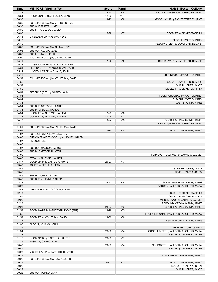| <b>Time</b>    | <b>VISITORS: Virginia Tech</b>                    | <b>Score</b> | <b>Margin</b>  | <b>HOME: Boston College</b>                       |
|----------------|---------------------------------------------------|--------------|----------------|---------------------------------------------------|
| 07:13          |                                                   | $12 - 20$    | V8             | GOOD! FT by ASHTON-LANGFORD, MAKAI                |
| 06:54          | GOOD! JUMPER by PEDULLA, SEAN                     | $12 - 22$    | $V$ 10         |                                                   |
| 06:36          |                                                   | $14 - 22$    | V8             | GOOD! LAYUP by BICKERSTAFF, T.J. [PNT]            |
| 06:36          | FOUL (PERSONAL) by MUTTS, JUSTYN                  |              |                |                                                   |
| 06:36          | SUB OUT: MUTTS, JUSTYN                            |              |                |                                                   |
| 06:36          | SUB IN: N'GUESSAN, DAVID                          |              | V <sub>7</sub> |                                                   |
| 06:36<br>06:13 | MISSED LAYUP by ALUMA, KEVE                       | $15 - 22$    |                | GOOD! FT by BICKERSTAFF, T.J.                     |
| 06:13          |                                                   |              |                | BLOCK by POST, QUINTEN                            |
| 06:10          |                                                   |              |                | REBOUND (DEF) by LANGFORD, DEMARR                 |
| 06:06          | FOUL (PERSONAL) by ALUMA, KEVE                    |              |                |                                                   |
| 06:06          | SUB OUT: ALUMA, KEVE                              |              |                |                                                   |
| 06:06          | SUB IN: OJIAKO, JOHN                              |              |                |                                                   |
| 06:00          | FOUL (PERSONAL) by OJIAKO, JOHN                   |              |                |                                                   |
| 05:49          |                                                   | $17 - 22$    | V <sub>5</sub> | GOOD! LAYUP by LANGFORD, DEMARR                   |
| 05:34          | MISSED JUMPER by ALLEYNE, NAHIEM                  |              |                |                                                   |
| 05:31          | REBOUND (OFF) by N'GUESSAN, DAVID                 |              |                |                                                   |
| 05:14          | MISSED JUMPER by OJIAKO, JOHN                     |              |                |                                                   |
| 05:11          |                                                   |              |                | REBOUND (DEF) by POST, QUINTEN                    |
| 04:52          | FOUL (PERSONAL) by N'GUESSAN, DAVID               |              |                |                                                   |
| 04:52<br>04:52 |                                                   |              |                | SUB OUT: LANGFORD, DEMARR<br>SUB IN: JONES, KANYE |
| 04:52          |                                                   |              |                | MISSED FT by BICKERSTAFF, T.J.                    |
| 04:51          | REBOUND (DEF) by OJIAKO, JOHN                     |              |                |                                                   |
| 04:34          |                                                   |              |                | FOUL (PERSONAL) by POST, QUINTEN                  |
| 04:34          |                                                   |              |                | SUB OUT: POST, QUINTEN                            |
| 04:34          |                                                   |              |                | SUB IN: KARNIK, JAMES                             |
| 04:34          | SUB OUT: CATTOOR, HUNTER                          |              |                |                                                   |
| 04:34          | SUB IN: MADDOX, DARIUS                            |              |                |                                                   |
| 04:34          | GOOD! FT by ALLEYNE, NAHIEM                       | $17 - 23$    | V6             |                                                   |
| 04:34          | GOOD! FT by ALLEYNE, NAHIEM                       | $17 - 24$    | V <sub>7</sub> |                                                   |
| 04:10          |                                                   | 19-24        | V <sub>5</sub> | GOOD! LAYUP by KARNIK, JAMES                      |
| 04:10          |                                                   |              |                | ASSIST by ASHTON-LANGFORD, MAKAI                  |
| 04:09          | FOUL (PERSONAL) by N'GUESSAN, DAVID               |              | V <sub>4</sub> |                                                   |
| 04:09<br>04:07 | FOUL (OFF) by ALLEYNE, NAHIEM                     | $20 - 24$    |                | GOOD! FT by KARNIK, JAMES                         |
| 04:07          | TURNOVER (OFFENSIVE) by ALLEYNE, NAHIEM           |              |                |                                                   |
| 04:07          | TIMEOUT 30SEC                                     |              |                |                                                   |
| 04:07          |                                                   |              |                |                                                   |
| 04:07          | SUB OUT: MADDOX, DARIUS                           |              |                |                                                   |
| 04:07          | SUB IN: CATTOOR, HUNTER                           |              |                |                                                   |
| 04:05          |                                                   |              |                | TURNOVER (BADPASS) by ZACKERY, JAEDEN             |
| 04:05          | STEAL by ALLEYNE, NAHIEM                          |              |                |                                                   |
| 03:47          | GOOD! 3PTR by CATTOOR, HUNTER                     | 20-27        | V <sub>7</sub> |                                                   |
| 03:47          | ASSIST by PEDULLA, SEAN                           |              |                |                                                   |
| 03:45          |                                                   |              |                | SUB OUT: JONES, KANYE                             |
| 03:45          |                                                   |              |                | SUB IN: KENNY, ANDREW                             |
| 03:45<br>03:45 | SUB IN: MURPHY, STORM<br>SUB OUT: ALLEYNE, NAHIEM |              |                |                                                   |
| 03:22          |                                                   | 22-27        | V <sub>5</sub> | GOOD! JUMPER by KARNIK, JAMES                     |
| 03:22          |                                                   |              |                | ASSIST by ASHTON-LANGFORD, MAKAI                  |
| 02:48          | TURNOVER (SHOTCLOCK) by TEAM                      |              |                |                                                   |
| 02:48          |                                                   |              |                | SUB OUT: BICKERSTAFF, T.J.                        |
| 02:48          |                                                   |              |                | SUB IN: LANGFORD, DEMARR                          |
| 02:26          |                                                   |              |                | MISSED LAYUP by ZACKERY, JAEDEN                   |
| 02:23          |                                                   |              |                | REBOUND (OFF) by KARNIK, JAMES                    |
| 02:23          |                                                   | 24-27        | V <sub>3</sub> | GOOD! LAYUP by KARNIK, JAMES                      |
| 01:52          | GOOD! LAYUP by N'GUESSAN, DAVID [PNT]             | 24-29        | V <sub>5</sub> |                                                   |
| 01:52          |                                                   |              |                | FOUL (PERSONAL) by ASHTON-LANGFORD, MAKAI         |
| 01:52          | GOOD! FT by N'GUESSAN, DAVID                      | 24-30        | $V_6$          |                                                   |
| 01:35<br>01:35 | BLOCK by OJIAKO, JOHN                             |              |                | MISSED LAYUP by KARNIK, JAMES                     |
| 01:35          |                                                   |              |                | REBOUND (OFF) by TEAM                             |
| 01:34          |                                                   | 26-30        | V <sub>4</sub> | GOOD! JUMPER by ASHTON-LANGFORD, MAKAI            |
| 01:34          |                                                   |              |                | ASSIST by ZACKERY, JAEDEN                         |
| 01:15          | GOOD! 3PTR by CATTOOR, HUNTER                     | 26-33        | V <sub>7</sub> |                                                   |
| 01:15          | ASSIST by OJIAKO, JOHN                            |              |                |                                                   |
| 00:47          |                                                   | 29-33        | V <sub>4</sub> | GOOD! 3PTR by ASHTON-LANGFORD, MAKAI              |
| 00:47          |                                                   |              |                | ASSIST by ZACKERY, JAEDEN                         |
| 00:22          | MISSED LAYUP by CATTOOR, HUNTER                   |              |                |                                                   |
| 00:22          |                                                   |              |                | REBOUND (DEF) by KARNIK, JAMES                    |
| 00:22          | FOUL (PERSONAL) by OJIAKO, JOHN                   |              |                |                                                   |
| 00:22          |                                                   | 30-33        | $V_3$          | GOOD! FT by KARNIK, JAMES                         |
| 00:22          |                                                   |              |                | SUB OUT: KENNY, ANDREW                            |
| 00:22<br>00:22 | SUB OUT: OJIAKO, JOHN                             |              |                | SUB IN: JONES, KANYE                              |
|                |                                                   |              |                |                                                   |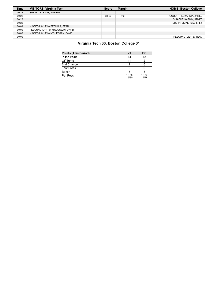| <b>Time</b> | <b>VISITORS: Virginia Tech</b>    | <b>Score</b> | <b>Margin</b>  | <b>HOME: Boston College</b> |
|-------------|-----------------------------------|--------------|----------------|-----------------------------|
| 00:22       | SUB IN: ALLEYNE, NAHIEM           |              |                |                             |
| 00:22       |                                   | $31 - 33$    | V <sub>2</sub> | GOOD! FT by KARNIK, JAMES   |
| 00:22       |                                   |              |                | SUB OUT: KARNIK, JAMES      |
| 00:22       |                                   |              |                | SUB IN: BICKERSTAFF, T.J.   |
| 00:01       | MISSED LAYUP by PEDULLA, SEAN     |              |                |                             |
| 00:00       | REBOUND (OFF) by N'GUESSAN, DAVID |              |                |                             |
| 00:00       | MISSED LAYUP by N'GUESSAN, DAVID  |              |                |                             |
| 00:00       |                                   |              |                | REBOUND (DEF) by TEAM       |

# **Virginia Tech 33, Boston College 31**

| <b>Points (This Period)</b> | VT             | ВC             |
|-----------------------------|----------------|----------------|
| In the Paint                | 14             | 12             |
| Off Turns                   | 11             |                |
| 2nd Chance                  |                |                |
| <b>Fast Break</b>           |                |                |
| Bench                       |                |                |
| Per Poss                    | 1.100<br>15/30 | 1.107<br>15/28 |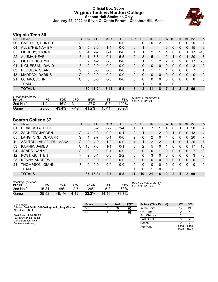## **Official Box Score Virginia Tech vs Boston College Second Half Statistics Only January 22, 2022 at Silvio O. Conte Forum - Chestnut Hill, Mass.**



# **Virginia Tech 30**

| No. | Plaver                | S  | <b>Pts</b> | <b>FG</b> | 3FG      | <b>FT</b> | <b>OR</b> | D <sub>R</sub> | TR | PF       | A             | TO       | <b>B</b> lk           | Stl              | Min      | $+/-$        |
|-----|-----------------------|----|------------|-----------|----------|-----------|-----------|----------------|----|----------|---------------|----------|-----------------------|------------------|----------|--------------|
| 00  | CATTOOR, HUNTER       | G  | 8          | $3 - 3$   | $2 - 2$  | $0 - 0$   | 0         | 0              | 0  | 2        |               | 2        | 0                     | 0                | 20       | $-7$         |
| 04  | ALLEYNE, NAHIEM       | G  | 5          | $2 - 6$   | $1 - 4$  | $0 - 0$   | 0         |                |    |          | 0             | 0        | 0                     | 0                | 15       | -9           |
| 05  | MURPHY, STORM         | G  | 4          | $2 - 7$   | $0 - 4$  | $0 - 0$   |           |                | 2  |          |               | 0        | 0                     |                  | 17       | $-10$        |
| 22  | ALUMA, KEVE           | F. | 11         | $3-6$     | $0 - 1$  | $5-5$     | 2         | 3              | 5  | 1        | $\mathcal{P}$ | 1        | 0                     | 1                | 20       | $-7$         |
| 25  | MUTTS, JUSTYN         | F  | 2          | $1-2$     | $0 - 0$  | $0 - 0$   | 0         |                | 1  | 2        | 2             | 0        | 2                     | 0                | 17       | -5           |
| 01  | N'GUESSAN, DAVID      | F. | 0          | $0 - 0$   | $0 - 0$  | $0 - 0$   | 0         | $\Omega$       | 0  | $\Omega$ | $\mathbf{0}$  | $\Omega$ | 0                     | $\mathbf{0}$     | 3        | $-2$         |
| 03  | PEDULLA, SEAN         | G  | 0          | $0 - 0$   | $0 - 0$  | $0 - 0$   | 0         |                | 1  | 1        |               | 0        | 0                     | $\Omega$         | 7        | 5            |
| 13  | <b>MADDOX, DARIUS</b> | G  | 0          | $0 - 0$   | $0 - 0$  | $0 - 0$   | 0         | 0              | 0  | 0        | $\Omega$      | 0        | 0                     | $\Omega$         | $\Omega$ | $\mathbf{0}$ |
| 21  | OJIAKO, JOHN          | C  | 0          | $0 - 0$   | $0-0$    | $0 - 0$   | 0         | 0              | 0  | $\Omega$ | $\Omega$      | $\Omega$ | 0                     | $\Omega$         | $\Omega$ | 0            |
|     | <b>TEAM</b>           |    |            |           |          |           | 0         | 1              | 1  | 0        |               | 0        |                       |                  |          |              |
|     | <b>TOTALS</b>         |    | 30         | $11 - 24$ | $3 - 11$ | $5 - 5$   | 3         | 8              | 11 | 8        |               | 3        | $\mathbf{2}^{\prime}$ | $\boldsymbol{P}$ | 99       |              |
|     |                       |    |            |           |          |           |           |                |    |          |               |          |                       |                  |          |              |

| <b>Shooting By Period</b><br>Period | FG        | FG%   | 3FG   | 3FG%  |           | FT%   | Deadball Rebounds: 1,0<br>Last FG Half: VT - |
|-------------------------------------|-----------|-------|-------|-------|-----------|-------|----------------------------------------------|
| 2nd Half                            | 11-24     | 46%   | -3-11 | 27%   | $5-5$     | 100%  |                                              |
| Game                                | $23 - 53$ | 43.4% | 7-17  | 41.2% | $10 - 11$ | 90.9% |                                              |

# **Boston College 37**

| No. | Plaver                 | S  | <b>Pts</b> | <b>FG</b> | 3FG     | <b>FT</b> | <b>OR</b> | <b>DR</b> | TR             | PF             | A        | TO       | <b>Blk</b> | Stl | Min      | $+/-$          |
|-----|------------------------|----|------------|-----------|---------|-----------|-----------|-----------|----------------|----------------|----------|----------|------------|-----|----------|----------------|
| 01  | BICKERSTAFF, T.J.      | F  | 3          | $0 - 2$   | $0 - 2$ | 3-4       |           | 6         |                |                | 4        |          |            |     | 20       | 7              |
| 03  | ZACKERY, JAEDEN        | G  | 4          | $2 - 3$   | $0 - 0$ | $0 - 1$   | 0         |           |                | $\overline{2}$ | 0        |          | 0          | 0   | 13       | $\overline{4}$ |
| 05  | LANGFORD, DEMARR       | G  | 4          | $2 - 7$   | 0-1     | $0-0$     | 2         | 0         | 2              | 0              | 4        | 0        | 0          | 0   | 20       | $\overline{7}$ |
| 11  | ASHTON-LANGFORD, MAKAI | G  | 9          | $4-9$     | $1 - 2$ | $0 - 0$   |           |           | $\overline{2}$ | $\mathcal{P}$  |          |          | 0          |     | 20       | $\overline{7}$ |
| 33  | KARNIK, JAMES          | C  | 15         | 7-8       | $1 - 1$ | $0 - 1$   | 3         | 2         | 5              | 0              |          | 0        | 0          | 0   | 17       | 10             |
| 04  | JONES, KANYE           | G  | $\Omega$   | $0 - 1$   | $0 - 1$ | $0 - 0$   | 0         | 0         | 0              | 1              | 0        | $\Omega$ | 0          | 0   |          | 3              |
| 12  | POST, QUINTEN          | F  | 2          | $0 - 1$   | $0 - 0$ | $2 - 2$   | 3         | 0         | 3              | 0              | 0        | 0        | O          | 0   | 3        | -3             |
| 23  | <b>KENNY, ANDREW</b>   | F. | 0          | $0 - 0$   | $0 - 0$ | $0 - 0$   | 0         | 0         | 0              | 0              | $\Omega$ | $\Omega$ | 0          | 0   | $\Omega$ | $\mathbf{0}$   |
| 24  | THOMPSON, GIANNI       | F. | U          | $0-0$     | $0 - 0$ | $0 - 0$   | 0         | 0         | 0              | 0              | 0        | 0        | 0          | 0   | 0        | 0              |
|     | <b>TEAM</b>            |    |            |           |         |           |           | 0         | 1              | 0              |          | 0        |            |     |          |                |
|     | <b>TOTALS</b>          |    | 37         | 15-31     | $2 - 7$ | $5-8$     | 11        | 10        | 21             | 6              | 10       | 2        |            | 2   | 99       |                |
|     |                        |    |            |           |         |           |           |           |                |                |          |          |            |     |          |                |

| <b>Shooting By Period</b><br>Period | FG        | FG%   | 3FG     | 3FG%  | FТ        | FT%   |
|-------------------------------------|-----------|-------|---------|-------|-----------|-------|
| 2nd Half                            | 15-31     | 48%   | $2 - 7$ | 29%   | $5-8$     | 63%   |
| Game                                | $25 - 52$ | 48.1% | 4-12    | 33.3% | $14 - 19$ | 73.7% |

*Deadball Rebounds:* 1,0 *Last FG Half:* BC -

| Game Notes:                                                                 | <b>Score</b> | 1st | 2nd | <b>TOT</b> | <b>Points (This Period)</b> |                | BC            |
|-----------------------------------------------------------------------------|--------------|-----|-----|------------|-----------------------------|----------------|---------------|
| Officials: Bert Smith, Bill Covington Jr., Tony Chiazza<br>Attendance: 4714 | VT           | 33  | 30  | 63         | In the Paint                |                | 24            |
|                                                                             | BC           | 31  | 37  | 68         | Off Turns                   |                |               |
| Start Time: 12:04 PM ET                                                     |              |     |     |            | 2nd Chance                  |                |               |
| End Time: 01:59 PM ET<br>Game Duration: 1:55                                |              |     |     |            | Fast Break                  |                |               |
| Conference Game:                                                            |              |     |     |            | Bench                       |                |               |
|                                                                             |              |     |     |            | Per Poss                    | 1.154<br>14/26 | .480<br>18/25 |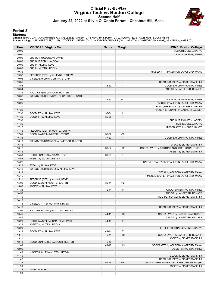#### **Official Play-By-Play Virginia Tech vs Boston College Second Half January 22, 2022 at Silvio O. Conte Forum - Chestnut Hill, Mass.**



#### **Period 2**

<mark>Starters:</mark><br>Virginia Tech: 0 CATTOOR,HUNTER (G); 4 ALLEYNE,NAHIEM (G); 5 MURPHY,STORM (G); 22 ALUMA,KEVE (F); 25 MUTTS,JUSTYN (F);<br>Boston College: 1 BICKERSTAFF,T.J. (F); 3 ZACKERY,JAEDEN (G); 5 LANGFORD,DEMARR (G); 11 AS

| Time           | <b>VISITORS: Virginia Tech</b>                                    | <b>Score</b> | <b>Margin</b>  | <b>HOME: Boston College</b>                         |
|----------------|-------------------------------------------------------------------|--------------|----------------|-----------------------------------------------------|
| 20:00          |                                                                   |              |                | SUB OUT: JONES, KANYE                               |
| 20:00          |                                                                   |              |                | SUB IN: KARNIK, JAMES                               |
| 20:00          | SUB OUT: N'GUESSAN, DAVID                                         |              |                |                                                     |
| 20:00          | SUB OUT: PEDULLA, SEAN                                            |              |                |                                                     |
| 20:00          | SUB IN: ALUMA, KEVE                                               |              |                |                                                     |
| 20:00          | SUB IN: MUTTS, JUSTYN                                             |              |                |                                                     |
| 19:36<br>19:32 |                                                                   |              |                | MISSED 3PTR by ASHTON-LANGFORD, MAKAI               |
| 19:08          | REBOUND (DEF) by ALLEYNE, NAHIEM<br>MISSED LAYUP by MURPHY, STORM |              |                |                                                     |
| 19:05          |                                                                   |              |                | REBOUND (DEF) by BICKERSTAFF, T.J.                  |
| 18:54          |                                                                   | 33-33        | T              | GOOD! LAYUP by KARNIK, JAMES                        |
| 18:54          |                                                                   |              |                | ASSIST by LANGFORD, DEMARR                          |
| 18:32          | FOUL (OFF) by CATTOOR, HUNTER                                     |              |                |                                                     |
| 18:32          | TURNOVER (OFFENSIVE) by CATTOOR, HUNTER                           |              |                |                                                     |
| 18:06          |                                                                   | 35-33        | H <sub>2</sub> | GOOD! DUNK by KARNIK, JAMES                         |
| 18:06          |                                                                   |              |                | ASSIST by ASHTON-LANGFORD, MAKAI                    |
| 17:37          |                                                                   |              |                | FOUL (PERSONAL) by ZACKERY, JAEDEN                  |
| 17:30          |                                                                   |              |                | FOUL (PERSONAL) by ZACKERY, JAEDEN                  |
| 17:30          | GOOD! FT by ALUMA, KEVE                                           | 35-34        | H <sub>1</sub> |                                                     |
| 17:30          | GOOD! FT by ALUMA, KEVE                                           | 35-35        | $\mathsf T$    |                                                     |
| 17:30          |                                                                   |              |                | SUB OUT: ZACKERY, JAEDEN                            |
| 17:30<br>17:17 |                                                                   |              |                | SUB IN: JONES, KANYE<br>MISSED 3PTR by JONES, KANYE |
| 17:15          | REBOUND (DEF) by MUTTS, JUSTYN                                    |              |                |                                                     |
| 17:01          | GOOD! LAYUP by MURPHY, STORM                                      | 35-37        | V <sub>2</sub> |                                                     |
| 16:38          |                                                                   | 37-37        | $\top$         | GOOD! LAYUP by KARNIK, JAMES                        |
| 16:16          | TURNOVER (BADPASS) by CATTOOR, HUNTER                             |              |                |                                                     |
| 16:16          |                                                                   |              |                | STEAL by BICKERSTAFF, T.J.                          |
| 16:12          |                                                                   | 39-37        | H <sub>2</sub> | GOOD! LAYUP by ASHTON-LANGFORD, MAKAI [FB/PNT]      |
| 16:12          |                                                                   |              |                | ASSIST by BICKERSTAFF, T.J.                         |
| 15:53          | GOOD! JUMPER by ALUMA, KEVE                                       | 39-39        | T              |                                                     |
| 15:53          | ASSIST by MUTTS, JUSTYN                                           |              |                |                                                     |
| 15:22          |                                                                   |              |                | TURNOVER (BADPASS) by ASHTON-LANGFORD, MAKAI        |
| 15:22          | STEAL by ALUMA, KEVE                                              |              |                |                                                     |
| 15:19          | TURNOVER (BADPASS) by ALUMA, KEVE                                 |              |                |                                                     |
| 15:19          |                                                                   |              |                | STEAL by ASHTON-LANGFORD, MAKAI                     |
| 15:15<br>15:11 | REBOUND (DEF) by ALUMA, KEVE                                      |              |                | MISSED JUMPER by ASHTON-LANGFORD, MAKAI             |
| 15:02          | GOOD! LAYUP by MUTTS, JUSTYN                                      | 39-41        | V <sub>2</sub> |                                                     |
| 15:02          | ASSIST by ALUMA, KEVE                                             |              |                |                                                     |
| 14:33          |                                                                   | 42-41        | H <sub>1</sub> | GOOD! 3PTR by KARNIK, JAMES                         |
| 14:33          |                                                                   |              |                | ASSIST by LANGFORD, DEMARR                          |
| 14:19          |                                                                   |              |                | FOUL (PERSONAL) by BICKERSTAFF, T.J.                |
| 14:19          |                                                                   |              |                |                                                     |
| 14:16          | MISSED 3PTR by MURPHY, STORM                                      |              |                |                                                     |
| 14:13          |                                                                   |              |                | REBOUND (DEF) by BICKERSTAFF, T.J.                  |
| 14:01          | FOUL (PERSONAL) by MUTTS, JUSTYN                                  |              |                |                                                     |
| 13:45          |                                                                   | 44-41        | $H_3$          | GOOD! LAYUP by KARNIK, JAMES [PNT]                  |
| 13:45          |                                                                   |              |                | ASSIST by LANGFORD, DEMARR                          |
| 13:29          | GOOD! LAYUP by ALUMA, KEVE [PNT]                                  | 44-43        | H <sub>1</sub> |                                                     |
| 13:29          | ASSIST by MUTTS, JUSTYN                                           |              |                |                                                     |
| 13:29<br>13:29 | GOOD! FT by ALUMA, KEVE                                           | 44-44        | $\top$         | FOUL (PERSONAL) by JONES, KANYE                     |
| 13:11          |                                                                   | 46-44        | H <sub>2</sub> | GOOD! LAYUP by LANGFORD, DEMARR                     |
| 13:11          |                                                                   |              |                | ASSIST by BICKERSTAFF, T.J.                         |
| 12:43          | GOOD! JUMPER by CATTOOR, HUNTER                                   | 46-46        | T              |                                                     |
| 12:09          |                                                                   | 49-46        | $H_3$          | GOOD! 3PTR by ASHTON-LANGFORD, MAKAI                |
| 12:09          |                                                                   |              |                | ASSIST by KARNIK, JAMES                             |
| 11:46          | MISSED LAYUP by MUTTS, JUSTYN                                     |              |                |                                                     |
| 11:46          |                                                                   |              |                | BLOCK by BICKERSTAFF, T.J.                          |
| 11:42          |                                                                   |              |                | REBOUND (DEF) by BICKERSTAFF, T.J.                  |
| 11:39          |                                                                   | 51-46        | H <sub>5</sub> | GOOD! LAYUP by ASHTON-LANGFORD, MAKAI [FB]          |
| 11:39          |                                                                   |              |                | ASSIST by BICKERSTAFF, T.J.                         |
| 11:36          | TIMEOUT 30SEC                                                     |              |                |                                                     |
| 11:36          |                                                                   |              |                |                                                     |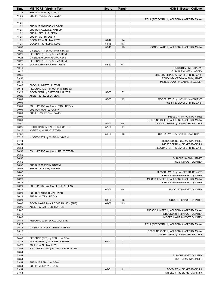| Time           | <b>VISITORS: Virginia Tech</b>                     | <b>Score</b> | <b>Margin</b>  | <b>HOME: Boston College</b>                                       |
|----------------|----------------------------------------------------|--------------|----------------|-------------------------------------------------------------------|
| 11:36          | SUB OUT: MUTTS, JUSTYN                             |              |                |                                                                   |
| 11:36          | SUB IN: N'GUESSAN, DAVID                           |              |                |                                                                   |
| 11:21          |                                                    |              |                | FOUL (PERSONAL) by ASHTON-LANGFORD, MAKAI                         |
| 11:21          |                                                    |              |                |                                                                   |
| 11:21          | SUB OUT: N'GUESSAN, DAVID                          |              |                |                                                                   |
| 11:21          | SUB OUT: ALLEYNE, NAHIEM                           |              |                |                                                                   |
| 11:21          | SUB IN: PEDULLA, SEAN                              |              |                |                                                                   |
| 11:21          | SUB IN: MUTTS, JUSTYN                              |              |                |                                                                   |
| 11:21          | GOOD! FT by ALUMA, KEVE                            | 51-47        | H4             |                                                                   |
| 11:21          | GOOD! FT by ALUMA, KEVE                            | 51-48        | H <sub>3</sub> |                                                                   |
| 10:53          |                                                    | 53-48        | H <sub>5</sub> | GOOD! LAYUP by ASHTON-LANGFORD, MAKAI                             |
| 10:29          | MISSED 3PTR by MURPHY, STORM                       |              |                |                                                                   |
| 10:25          | REBOUND (OFF) by ALUMA, KEVE                       |              |                |                                                                   |
| 10:24          | MISSED LAYUP by ALUMA, KEVE                        |              |                |                                                                   |
| 10:22          | REBOUND (OFF) by ALUMA, KEVE                       |              |                |                                                                   |
| 10:21          | GOOD! LAYUP by ALUMA, KEVE                         | 53-50        | $H_3$          |                                                                   |
| 10:10          |                                                    |              |                | SUB OUT: JONES, KANYE                                             |
| 10:10<br>09:56 |                                                    |              |                | SUB IN: ZACKERY, JAEDEN                                           |
| 09:53          |                                                    |              |                | MISSED JUMPER by LANGFORD, DEMARR                                 |
| 09:48          |                                                    |              |                | REBOUND (OFF) by KARNIK, JAMES<br>MISSED LAYUP by ZACKERY, JAEDEN |
| 09:48          | BLOCK by MUTTS, JUSTYN                             |              |                |                                                                   |
| 09:44          | REBOUND (DEF) by MURPHY, STORM                     |              |                |                                                                   |
| 09:29          | GOOD! 3PTR by CATTOOR, HUNTER                      | 53-53        | T              |                                                                   |
| 09:29          | ASSIST by PEDULLA, SEAN                            |              |                |                                                                   |
| 09:01          |                                                    | 55-53        | H <sub>2</sub> | GOOD! LAYUP by KARNIK, JAMES [PNT]                                |
| 09:01          |                                                    |              |                | ASSIST by LANGFORD, DEMARR                                        |
| 09:01          | FOUL (PERSONAL) by MUTTS, JUSTYN                   |              |                |                                                                   |
| 09:01          | SUB OUT: MUTTS, JUSTYN                             |              |                |                                                                   |
| 09:01          | SUB IN: N'GUESSAN, DAVID                           |              |                |                                                                   |
| 09:01          |                                                    |              |                | MISSED FT by KARNIK, JAMES                                        |
| 09:01          |                                                    |              |                | REBOUND (OFF) by ASHTON-LANGFORD, MAKAI                           |
| 08:47          |                                                    | 57-53        | H4             | GOOD! JUMPER by LANGFORD, DEMARR                                  |
| 08:25          | GOOD! 3PTR by CATTOOR, HUNTER                      | 57-56        | H <sub>1</sub> |                                                                   |
| 08:25          | ASSIST by MURPHY, STORM                            |              |                |                                                                   |
| 07:52          |                                                    | 59-56        | H <sub>3</sub> | GOOD! LAYUP by KARNIK, JAMES [PNT]                                |
| 07:16          | MISSED 3PTR by MURPHY, STORM                       |              |                |                                                                   |
| 07:14          |                                                    |              |                | REBOUND (DEF) by KARNIK, JAMES                                    |
| 06:54          |                                                    |              |                | MISSED 3PTR by BICKERSTAFF, T.J.                                  |
| 06:54          |                                                    |              |                | REBOUND (OFF) by LANGFORD, DEMARR                                 |
| 06:52          | FOUL (PERSONAL) by MURPHY, STORM                   |              |                |                                                                   |
| 06:52          |                                                    |              |                |                                                                   |
| 06:52          |                                                    |              |                | SUB OUT: KARNIK, JAMES                                            |
| 06:52          |                                                    |              |                | SUB IN: POST, QUINTEN                                             |
| 06:52          | SUB OUT: MURPHY, STORM                             |              |                |                                                                   |
| 06:52          | SUB IN: ALLEYNE, NAHIEM                            |              |                |                                                                   |
| 06:47          |                                                    |              |                | MISSED LAYUP by LANGFORD, DEMARR                                  |
| 06:44          |                                                    |              |                | REBOUND (OFF) by POST, QUINTEN                                    |
| 06:26          |                                                    |              |                | MISSED JUMPER by ASHTON-LANGFORD, MAKAI                           |
| 06:23          |                                                    |              |                | REBOUND (OFF) by POST, QUINTEN                                    |
| 06:21<br>06:21 | FOUL (PERSONAL) by PEDULLA, SEAN                   |              |                | GOOD! FT by POST, QUINTEN                                         |
|                |                                                    | 60-56        | H4             |                                                                   |
| 06:21<br>06:21 | SUB OUT: N'GUESSAN, DAVID<br>SUB IN: MUTTS, JUSTYN |              |                |                                                                   |
| 06:21          |                                                    | 61-56        | H <sub>5</sub> |                                                                   |
| 06:05          | GOOD! LAYUP by ALLEYNE, NAHIEM [PNT]               | 61-58        | H <sub>3</sub> | GOOD! FT by POST, QUINTEN                                         |
| 06:05          | ASSIST by CATTOOR, HUNTER                          |              |                |                                                                   |
| 05:47          |                                                    |              |                | MISSED JUMPER by ASHTON-LANGFORD, MAKAI                           |
| 05:42          |                                                    |              |                | REBOUND (OFF) by POST, QUINTEN                                    |
| 05:42          |                                                    |              |                | MISSED LAYUP by POST, QUINTEN                                     |
| 05:41          | REBOUND (DEF) by ALUMA, KEVE                       |              |                |                                                                   |
| 05:25          |                                                    |              |                | FOUL (PERSONAL) by ASHTON-LANGFORD, MAKAI                         |
| 05:18          | MISSED 3PTR by ALLEYNE, NAHIEM                     |              |                |                                                                   |
| 05:15          |                                                    |              |                | REBOUND (DEF) by ASHTON-LANGFORD, MAKAI                           |
| 04:47          |                                                    |              |                | MISSED 3PTR by LANGFORD, DEMARR                                   |
| 04:43          | REBOUND (DEF) by PEDULLA, SEAN                     |              |                |                                                                   |
| 04:23          | GOOD! 3PTR by ALLEYNE, NAHIEM                      | 61-61        | $\mathsf{T}$   |                                                                   |
| 04:23          | ASSIST by ALUMA, KEVE                              |              |                |                                                                   |
| 03:54          | FOUL (PERSONAL) by CATTOOR, HUNTER                 |              |                |                                                                   |
| 03:54          |                                                    |              |                |                                                                   |
| 03:54          |                                                    |              |                | SUB OUT: POST, QUINTEN                                            |
| 03:54          |                                                    |              |                | SUB IN: KARNIK, JAMES                                             |
| 03:54          | SUB OUT: PEDULLA, SEAN                             |              |                |                                                                   |
| 03:54          | SUB IN: MURPHY, STORM                              |              |                |                                                                   |
| 03:54          |                                                    | 62-61        | H <sub>1</sub> | GOOD! FT by BICKERSTAFF, T.J.                                     |
| 03:54          |                                                    |              |                | MISSED FT by BICKERSTAFF, T.J.                                    |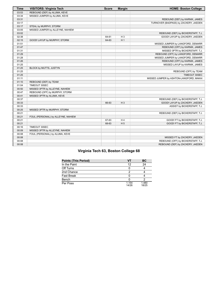| <b>Time</b> | <b>VISITORS: Virginia Tech</b>     | <b>Score</b> | <b>Margin</b>  | <b>HOME: Boston College</b>             |
|-------------|------------------------------------|--------------|----------------|-----------------------------------------|
| 03:53       | REBOUND (DEF) by ALUMA, KEVE       |              |                |                                         |
| 03:34       | MISSED JUMPER by ALUMA, KEVE       |              |                |                                         |
| 03:31       |                                    |              |                | REBOUND (DEF) by KARNIK, JAMES          |
| 03:17       |                                    |              |                | TURNOVER (BADPASS) by ZACKERY, JAEDEN   |
| 03:17       | STEAL by MURPHY, STORM             |              |                |                                         |
| 03:05       | MISSED JUMPER by ALLEYNE, NAHIEM   |              |                |                                         |
| 03:02       |                                    |              |                | REBOUND (DEF) by BICKERSTAFF, T.J.      |
| 02:38       |                                    | 64-61        | $H_3$          | GOOD! LAYUP by ZACKERY, JAEDEN          |
| 02:15       | GOOD! LAYUP by MURPHY, STORM       | 64-63        | H <sub>1</sub> |                                         |
| 01:51       |                                    |              |                | MISSED JUMPER by LANGFORD, DEMARR       |
| 01:47       |                                    |              |                | REBOUND (OFF) by KARNIK, JAMES          |
| 01:31       |                                    |              |                | MISSED 3PTR by BICKERSTAFF, T.J.        |
| 01:29       |                                    |              |                | REBOUND (OFF) by LANGFORD, DEMARR       |
| 01:28       |                                    |              |                | MISSED JUMPER by LANGFORD, DEMARR       |
| 01:26       |                                    |              |                | REBOUND (OFF) by KARNIK, JAMES          |
| 01:25       |                                    |              |                | MISSED LAYUP by KARNIK, JAMES           |
| 01:25       | BLOCK by MUTTS, JUSTYN             |              |                |                                         |
| 01:25       |                                    |              |                | REBOUND (OFF) by TEAM                   |
| 01:25       |                                    |              |                | TIMEOUT 30SEC                           |
| 01:11       |                                    |              |                | MISSED JUMPER by ASHTON-LANGFORD, MAKAI |
| 01:10       | REBOUND (DEF) by TEAM              |              |                |                                         |
| 01:04       | TIMEOUT 30SEC                      |              |                |                                         |
| 00:50       | MISSED 3PTR by ALLEYNE, NAHIEM     |              |                |                                         |
| 00:47       | REBOUND (OFF) by MURPHY, STORM     |              |                |                                         |
| 00:41       | MISSED 3PTR by ALUMA, KEVE         |              |                |                                         |
| 00:37       |                                    |              |                | REBOUND (DEF) by BICKERSTAFF, T.J.      |
| 00:33       |                                    | 66-63        | $H_3$          | GOOD! LAYUP by ZACKERY, JAEDEN          |
| 00:33       |                                    |              |                | ASSIST by BICKERSTAFF, T.J.             |
| 00:25       | MISSED 3PTR by MURPHY, STORM       |              |                |                                         |
| 00:21       |                                    |              |                | REBOUND (DEF) by BICKERSTAFF, T.J.      |
| 00:21       | FOUL (PERSONAL) by ALLEYNE, NAHIEM |              |                |                                         |
| 00:21       |                                    | 67-63        | H 4            | GOOD! FT by BICKERSTAFF, T.J.           |
| 00:21       |                                    | 68-63        | H <sub>5</sub> | GOOD! FT by BICKERSTAFF, T.J.           |
| 00:16       | TIMEOUT 30SEC                      |              |                |                                         |
| 00:09       | MISSED 3PTR by ALLEYNE, NAHIEM     |              |                |                                         |
| 00:08       | FOUL (PERSONAL) by ALUMA, KEVE     |              |                |                                         |
| 00:08       |                                    |              |                | MISSED FT by ZACKERY, JAEDEN            |
| 00:08       |                                    |              |                | REBOUND (OFF) by BICKERSTAFF, T.J.      |
| 00:08       |                                    |              |                | REBOUND (DEF) by ZACKERY, JAEDEN        |

# **Virginia Tech 63, Boston College 68**

| <b>Points (This Period)</b> | VT             | ВC             |
|-----------------------------|----------------|----------------|
| In the Paint                | 12             | 24             |
| Off Turns                   |                |                |
| 2nd Chance                  |                |                |
| <b>Fast Break</b>           |                |                |
| Bench                       |                |                |
| Per Poss                    | 1.154<br>14/26 | 1.480<br>18/25 |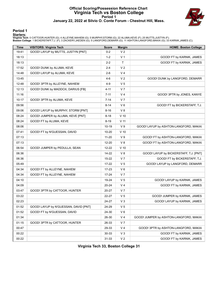# **Official Scoring/Possession Reference Chart Virginia Tech vs Boston College Period 1 January 22, 2022 at Silvio O. Conte Forum - Chestnut Hill, Mass.**



#### **Period 1**

<mark>Starters:</mark><br>Virginia Tech: 0 CATTOOR,HUNTER (G); 4 ALLEYNE,NAHIEM (G); 5 MURPHY,STORM (G); 22 ALUMA,KEVE (F); 25 MUTTS,JUSTYN (F);<br>Boston College: 1 BICKERSTAFF,T.J. (F); 3 ZACKERY,JAEDEN (G); 5 LANGFORD,DEMARR (G); 11 AS

| <b>Time</b> | <b>VISITORS: Virginia Tech</b>        | <b>Score</b> | <b>Margin</b>   | <b>HOME: Boston College</b>            |
|-------------|---------------------------------------|--------------|-----------------|----------------------------------------|
| 19:41       | GOOD! LAYUP by MUTTS, JUSTYN [PNT]    | $0 - 2$      | V <sub>2</sub>  |                                        |
| 18:13       |                                       | $1-2$        | V 1             | GOOD! FT by KARNIK, JAMES              |
| 18:13       |                                       | $2 - 2$      | $\mathsf{T}$    | GOOD! FT by KARNIK, JAMES              |
| 17:52       | GOOD! DUNK by ALUMA, KEVE             | $2 - 4$      | V <sub>2</sub>  |                                        |
| 14:48       | GOOD! LAYUP by ALUMA, KEVE            | $2-6$        | V <sub>4</sub>  |                                        |
| 13:45       |                                       | 4-6          | V <sub>2</sub>  | GOOD! DUNK by LANGFORD, DEMARR         |
| 12:48       | GOOD! 3PTR by ALLEYNE, NAHIEM         | 4-9          | V <sub>5</sub>  |                                        |
| 12:13       | GOOD! DUNK by MADDOX, DARIUS [FB]     | $4 - 11$     | V <sub>7</sub>  |                                        |
| 11:16       |                                       | $7 - 11$     | V <sub>4</sub>  | GOOD! 3PTR by JONES, KANYE             |
| 10:17       | GOOD! 3PTR by ALUMA, KEVE             | $7 - 14$     | V 7             |                                        |
| 09:56       |                                       | $8 - 14$     | $V_6$           | GOOD! FT by BICKERSTAFF, T.J.          |
| 09:06       | GOOD! LAYUP by MURPHY, STORM [PNT]    | $8 - 16$     | V8              |                                        |
| 08:24       | GOOD! JUMPER by ALUMA, KEVE [PNT]     | $8 - 18$     | $V$ 10          |                                        |
| 08:24       | GOOD! FT by ALUMA, KEVE               | $8 - 19$     | V 11            |                                        |
| 08:06       |                                       | 10-19        | V <sub>9</sub>  | GOOD! LAYUP by ASHTON-LANGFORD, MAKAI  |
| 07:41       | GOOD! FT by N'GUESSAN, DAVID          | 10-20        | V <sub>10</sub> |                                        |
| 07:13       |                                       | $11 - 20$    | V9              | GOOD! FT by ASHTON-LANGFORD, MAKAI     |
| 07:13       |                                       | 12-20        | V8              | GOOD! FT by ASHTON-LANGFORD, MAKAI     |
| 06:54       | GOOD! JUMPER by PEDULLA, SEAN         | 12-22        | $V$ 10          |                                        |
| 06:36       |                                       | 14-22        | V8              | GOOD! LAYUP by BICKERSTAFF, T.J. [PNT] |
| 06:36       |                                       | 15-22        | V <sub>7</sub>  | GOOD! FT by BICKERSTAFF, T.J.          |
| 05:49       |                                       | 17-22        | V 5             | GOOD! LAYUP by LANGFORD, DEMARR        |
| 04:34       | GOOD! FT by ALLEYNE, NAHIEM           | 17-23        | $V_6$           |                                        |
| 04:34       | GOOD! FT by ALLEYNE, NAHIEM           | 17-24        | V <sub>7</sub>  |                                        |
| 04:10       |                                       | 19-24        | V <sub>5</sub>  | GOOD! LAYUP by KARNIK, JAMES           |
| 04:09       |                                       | 20-24        | V 4             | GOOD! FT by KARNIK, JAMES              |
| 03:47       | GOOD! 3PTR by CATTOOR, HUNTER         | 20-27        | V <sub>7</sub>  |                                        |
| 03:22       |                                       | 22-27        | V <sub>5</sub>  | GOOD! JUMPER by KARNIK, JAMES          |
| 02:23       |                                       | 24-27        | $V_3$           | GOOD! LAYUP by KARNIK, JAMES           |
| 01:52       | GOOD! LAYUP by N'GUESSAN, DAVID [PNT] | 24-29        | V <sub>5</sub>  |                                        |
| 01:52       | GOOD! FT by N'GUESSAN, DAVID          | 24-30        | $V_6$           |                                        |
| 01:34       |                                       | 26-30        | V 4             | GOOD! JUMPER by ASHTON-LANGFORD, MAKAI |
| 01:15       | GOOD! 3PTR by CATTOOR, HUNTER         | 26-33        | V 7             |                                        |
| 00:47       |                                       | 29-33        | V 4             | GOOD! 3PTR by ASHTON-LANGFORD, MAKAI   |
| 00:22       |                                       | $30 - 33$    | $V_3$           | GOOD! FT by KARNIK, JAMES              |
| 00:22       |                                       | $31 - 33$    | V <sub>2</sub>  | GOOD! FT by KARNIK, JAMES              |

**Virginia Tech 33, Boston College 31**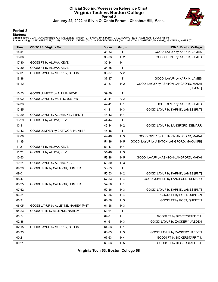# **Official Scoring/Possession Reference Chart Virginia Tech vs Boston College Period 2 January 22, 2022 at Silvio O. Conte Forum - Chestnut Hill, Mass.**



#### **Period 2**

#### **Starters:**

Virginia Tech: 0 CATTOOR,HUNTER (G); 4 ALLEYNE,NAHIEM (G); 5 MURPHY,STORM (G); 22 ALUMA,KEVE (F); 25 MUTTS,JUSTYN (F);<br>Boston College: 1 BICKERSTAFF,T.J. (F); 3 ZACKERY,JAEDEN (G); 5 LANGFORD,DEMARR (G); 11 ASHTON-LANGFORD

| <b>Time</b> | <b>VISITORS: Virginia Tech</b>       | <b>Score</b> | <b>Margin</b>  | <b>HOME: Boston College</b>                       |
|-------------|--------------------------------------|--------------|----------------|---------------------------------------------------|
| 18:54       |                                      | 33-33        | T.             | GOOD! LAYUP by KARNIK, JAMES                      |
| 18:06       |                                      | 35-33        | H <sub>2</sub> | GOOD! DUNK by KARNIK, JAMES                       |
| 17:30       | GOOD! FT by ALUMA, KEVE              | 35-34        | H <sub>1</sub> |                                                   |
| 17:30       | GOOD! FT by ALUMA, KEVE              | 35-35        | $\mathsf{T}$   |                                                   |
| 17:01       | GOOD! LAYUP by MURPHY, STORM         | 35-37        | V <sub>2</sub> |                                                   |
| 16:38       |                                      | 37-37        | $\mathsf{T}$   | GOOD! LAYUP by KARNIK, JAMES                      |
| 16:12       |                                      | 39-37        | H <sub>2</sub> | GOOD! LAYUP by ASHTON-LANGFORD, MAKAI<br>[FB/PNT] |
| 15:53       | GOOD! JUMPER by ALUMA, KEVE          | 39-39        | $\mathsf{T}$   |                                                   |
| 15:02       | GOOD! LAYUP by MUTTS, JUSTYN         | 39-41        | V <sub>2</sub> |                                                   |
| 14:33       |                                      | 42-41        | H 1            | GOOD! 3PTR by KARNIK, JAMES                       |
| 13:45       |                                      | 44-41        | $H_3$          | GOOD! LAYUP by KARNIK, JAMES [PNT]                |
| 13:29       | GOOD! LAYUP by ALUMA, KEVE [PNT]     | 44-43        | H <sub>1</sub> |                                                   |
| 13:29       | GOOD! FT by ALUMA, KEVE              | 44-44        | $\mathsf{T}$   |                                                   |
| 13:11       |                                      | 46-44        | H <sub>2</sub> | GOOD! LAYUP by LANGFORD, DEMARR                   |
| 12:43       | GOOD! JUMPER by CATTOOR, HUNTER      | 46-46        | $\mathsf{T}$   |                                                   |
| 12:09       |                                      | 49-46        | $H_3$          | GOOD! 3PTR by ASHTON-LANGFORD, MAKAI              |
| 11:39       |                                      | 51-46        | H 5            | GOOD! LAYUP by ASHTON-LANGFORD, MAKAI [FB]        |
| 11:21       | GOOD! FT by ALUMA, KEVE              | 51-47        | H 4            |                                                   |
| 11:21       | GOOD! FT by ALUMA, KEVE              | 51-48        | $H_3$          |                                                   |
| 10:53       |                                      | 53-48        | H 5            | GOOD! LAYUP by ASHTON-LANGFORD, MAKAI             |
| 10:21       | GOOD! LAYUP by ALUMA, KEVE           | 53-50        | $H_3$          |                                                   |
| 09:29       | GOOD! 3PTR by CATTOOR, HUNTER        | 53-53        | $\mathsf{T}$   |                                                   |
| 09:01       |                                      | 55-53        | H <sub>2</sub> | GOOD! LAYUP by KARNIK, JAMES [PNT]                |
| 08:47       |                                      | 57-53        | H4             | GOOD! JUMPER by LANGFORD, DEMARR                  |
| 08:25       | GOOD! 3PTR by CATTOOR, HUNTER        | 57-56        | H <sub>1</sub> |                                                   |
| 07:52       |                                      | 59-56        | H <sub>3</sub> | GOOD! LAYUP by KARNIK, JAMES [PNT]                |
| 06:21       |                                      | 60-56        | H 4            | GOOD! FT by POST, QUINTEN                         |
| 06:21       |                                      | 61-56        | H <sub>5</sub> | GOOD! FT by POST, QUINTEN                         |
| 06:05       | GOOD! LAYUP by ALLEYNE, NAHIEM [PNT] | 61-58        | $H_3$          |                                                   |
| 04:23       | GOOD! 3PTR by ALLEYNE, NAHIEM        | 61-61        | T              |                                                   |
| 03:54       |                                      | 62-61        | H 1            | GOOD! FT by BICKERSTAFF, T.J.                     |
| 02:38       |                                      | 64-61        | $H_3$          | GOOD! LAYUP by ZACKERY, JAEDEN                    |
| 02:15       | GOOD! LAYUP by MURPHY, STORM         | 64-63        | H <sub>1</sub> |                                                   |
| 00:33       |                                      | 66-63        | $H_3$          | GOOD! LAYUP by ZACKERY, JAEDEN                    |
| 00:21       |                                      | 67-63        | H 4            | GOOD! FT by BICKERSTAFF, T.J.                     |
| 00:21       |                                      | 68-63        | H 5            | GOOD! FT by BICKERSTAFF, T.J.                     |

**Virginia Tech 63, Boston College 68**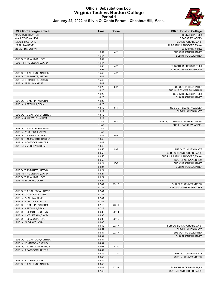# **Official Substitutions Log Virginia Tech vs Boston College Period 1**



|  |  |  | January 22, 2022 at Silvio O. Conte Forum - Chestnut Hill, Mass. |
|--|--|--|------------------------------------------------------------------|
|--|--|--|------------------------------------------------------------------|

| <b>VISITORS: Virginia Tech</b>                         | <b>Time</b>    | <b>Score</b> | <b>HOME: Boston College</b>     |
|--------------------------------------------------------|----------------|--------------|---------------------------------|
| 0 CATTOOR.HUNTER                                       |                |              | 1 BICKERSTAFF, T.J.             |
| 4 ALLEYNE, NAHIEM                                      |                |              | 3 ZACKERY, JAEDEN               |
| 5 MURPHY, STORM                                        |                |              | 5 LANGFORD, DEMARR              |
| 22 ALUMA, KEVE                                         |                |              | 11 ASHTON-LANGFORD, MAKAI       |
| 25 MUTTS, JUSTYN                                       |                |              | 33 KARNIK, JAMES                |
|                                                        | 16:57          | $4 - 2$      | SUB OUT: KARNIK, JAMES          |
|                                                        | 16:57          |              | SUB IN: POST, QUINTEN           |
| SUB OUT: 22 ALUMA, KEVE                                | 16:57          |              |                                 |
| SUB IN: 1 N'GUESSAN, DAVID                             | 16:57          |              |                                 |
|                                                        | 15:58          | $4 - 2$      | SUB OUT: BICKERSTAFF, T.J.      |
|                                                        | 15:58          |              | SUB IN: THOMPSON, GIANNI        |
| SUB OUT: 4 ALLEYNE, NAHIEM                             | 15:49<br>15:49 | $4 - 2$      |                                 |
| SUB OUT: 25 MUTTS, JUSTYN<br>SUB IN: 13 MADDOX, DARIUS | 15:49          |              |                                 |
| SUB IN: 22 ALUMA, KEVE                                 | 15:49          |              |                                 |
|                                                        | 14:20          | $6 - 2$      | SUB OUT: POST, QUINTEN          |
|                                                        | 14:20          |              | SUB OUT: THOMPSON, GIANNI       |
|                                                        | 14:20          |              | SUB IN: BICKERSTAFF,T.J.        |
|                                                        | 14:20          |              | SUB IN: KARNIK, JAMES           |
| SUB OUT: 5 MURPHY, STORM                               | 14:20          |              |                                 |
| SUB IN: 3 PEDULLA, SEAN                                | 14:20          |              |                                 |
|                                                        | 13:12          | $6 - 4$      | SUB OUT: ZACKERY, JAEDEN        |
|                                                        | 13:12          |              | SUB IN: JONES, KANYE            |
| SUB OUT: 0 CATTOOR, HUNTER                             | 13:12          |              |                                 |
| SUB IN: 4 ALLEYNE.NAHIEM                               | 13:12          |              |                                 |
|                                                        | 11:45          | $11 - 4$     | SUB OUT: ASHTON-LANGFORD, MAKAI |
|                                                        | 11:45          |              | SUB IN: ZACKERY, JAEDEN         |
| SUB OUT: 1 N'GUESSAN, DAVID                            | 11:45          |              |                                 |
| SUB IN: 25 MUTTS, JUSTYN                               | 11:45          |              |                                 |
| SUB OUT: 3 PEDULLA, SEAN                               | 10:42          | $11 - 7$     |                                 |
| SUB OUT: 13 MADDOX, DARIUS                             | 10:42          |              |                                 |
| SUB IN: 0 CATTOOR, HUNTER                              | 10:42          |              |                                 |
| SUB IN: 5 MURPHY, STORM                                | 10:42          |              |                                 |
|                                                        | 09:56          | $14 - 7$     | SUB OUT: JONES, KANYE           |
|                                                        | 09:56          |              | SUB OUT: LANGFORD, DEMARR       |
|                                                        | 09:56          |              | SUB IN: ASHTON-LANGFORD, MAKAI  |
|                                                        | 09:56          |              | SUB IN: KENNY, ANDREW           |
|                                                        | 08:24          | $18-8$       | SUB OUT: KARNIK, JAMES          |
|                                                        | 08:24          |              | SUB IN: POST, QUINTEN           |
| SUB OUT: 25 MUTTS, JUSTYN                              | 08:24          |              |                                 |
| SUB IN: 1 N'GUESSAN, DAVID                             | 08:24          |              |                                 |
| SUB OUT: 22 ALUMA, KEVE                                | 08:24          |              |                                 |
| SUB IN: 21 OJIAKO, JOHN                                | 08:24          |              |                                 |
|                                                        | 07:41          | 19-10        | SUB OUT: KENNY, ANDREW          |
|                                                        | 07:41          |              | SUB IN: LANGFORD, DEMARR        |
| SUB OUT: 1 N'GUESSAN, DAVID                            | 07:41          |              |                                 |
| SUB OUT: 21 OJIAKO, JOHN                               | 07:41          |              |                                 |
| SUB IN: 22 ALUMA, KEVE                                 | 07:41          |              |                                 |
| SUB IN: 25 MUTTS, JUSTYN                               | 07:41          |              |                                 |
| SUB OUT: 5 MURPHY, STORM                               | 07:13          | $20 - 11$    |                                 |
| SUB IN: 3 PEDULLA, SEAN                                | 07:13          |              |                                 |
| SUB OUT: 25 MUTTS, JUSTYN                              | 06:36          | 22-14        |                                 |
| SUB IN: 1 N'GUESSAN, DAVID                             | 06:36          |              |                                 |
| SUB OUT: 22 ALUMA, KEVE                                | 06:06          | $22 - 15$    |                                 |
| SUB IN: 21 OJIAKO, JOHN                                | 06:06          |              |                                 |
|                                                        | 04:52          | 22-17        | SUB OUT: LANGFORD, DEMARR       |
|                                                        | 04:52          |              | SUB IN: JONES, KANYE            |
|                                                        | 04:34          | 22-17        | SUB OUT: POST, QUINTEN          |
|                                                        | 04:34          |              | SUB IN: KARNIK, JAMES           |
| SUB OUT: 0 CATTOOR, HUNTER                             | 04:34          |              |                                 |
| SUB IN: 13 MADDOX, DARIUS                              | 04:34          |              |                                 |
| SUB OUT: 13 MADDOX, DARIUS                             | 04:07          | 24-20        |                                 |
| SUB IN: 0 CATTOOR, HUNTER                              | 04:07          |              |                                 |
|                                                        | 03:45          | 27-20        | SUB OUT: JONES, KANYE           |
| SUB IN: 5 MURPHY, STORM                                | 03:45<br>03:45 |              | SUB IN: KENNY, ANDREW           |
| SUB OUT: 4 ALLEYNE, NAHIEM                             | 03:45          |              |                                 |
|                                                        | 02:48          | 27-22        | SUB OUT: BICKERSTAFF, T.J.      |
|                                                        | 02:48          |              | SUB IN: LANGFORD, DEMARR        |
|                                                        |                |              |                                 |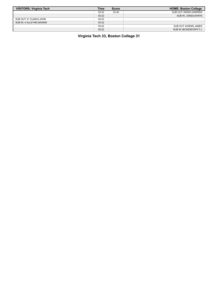| <b>VISITORS: Virginia Tech</b> | <b>Time</b> | <b>Score</b> | <b>HOME: Boston College</b> |
|--------------------------------|-------------|--------------|-----------------------------|
|                                | 00:22       | 33-30        | SUB OUT: KENNY, ANDREW      |
|                                | 00:22       |              | SUB IN: JONES, KANYE        |
| SUB OUT: 21 OJIAKO, JOHN       | 00:22       |              |                             |
| SUB IN: 4 ALLEYNE, NAHIEM      | 00:22       |              |                             |
|                                | 00:22       |              | SUB OUT: KARNIK.JAMES       |
|                                | 00:22       |              | SUB IN: BICKERSTAFF.T.J.    |

**Virginia Tech 33, Boston College 31**